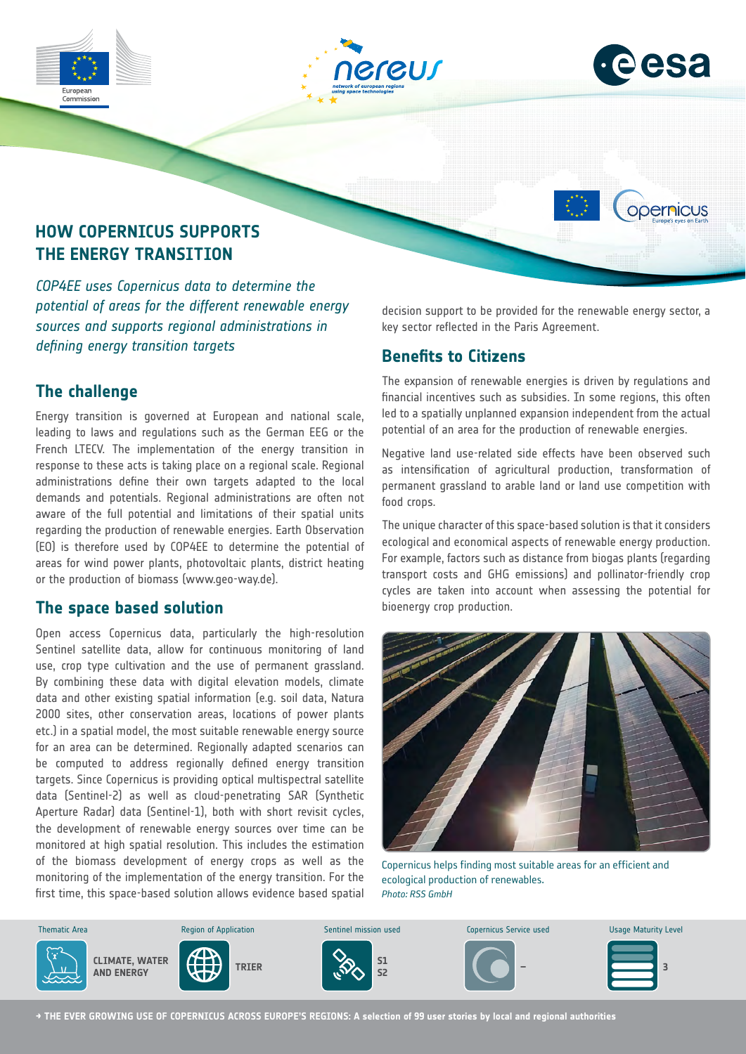





opernicus

# **HOW COPERNICUS SUPPORTS THE ENERGY TRANSITION**

*COP4EE uses Copernicus data to determine the potential of areas for the different renewable energy sources and supports regional administrations in defining energy transition targets* 

### **The challenge**

Energy transition is governed at European and national scale, leading to laws and regulations such as the German EEG or the French LTECV. The implementation of the energy transition in response to these acts is taking place on a regional scale. Regional administrations define their own targets adapted to the local demands and potentials. Regional administrations are often not aware of the full potential and limitations of their spatial units regarding the production of renewable energies. Earth Observation (EO) is therefore used by COP4EE to determine the potential of areas for wind power plants, photovoltaic plants, district heating or the production of biomass (www.geo-way.de).

### **The space based solution**

Open access Copernicus data, particularly the high-resolution Sentinel satellite data, allow for continuous monitoring of land use, crop type cultivation and the use of permanent grassland. By combining these data with digital elevation models, climate data and other existing spatial information (e.g. soil data, Natura 2000 sites, other conservation areas, locations of power plants etc.) in a spatial model, the most suitable renewable energy source for an area can be determined. Regionally adapted scenarios can be computed to address regionally defined energy transition targets. Since Copernicus is providing optical multispectral satellite data (Sentinel-2) as well as cloud-penetrating SAR (Synthetic Aperture Radar) data (Sentinel-1), both with short revisit cycles, the development of renewable energy sources over time can be monitored at high spatial resolution. This includes the estimation of the biomass development of energy crops as well as the monitoring of the implementation of the energy transition. For the first time, this space-based solution allows evidence based spatial decision support to be provided for the renewable energy sector, a key sector reflected in the Paris Agreement.

## **Benefits to Citizens**

The expansion of renewable energies is driven by regulations and financial incentives such as subsidies. In some regions, this often led to a spatially unplanned expansion independent from the actual potential of an area for the production of renewable energies.

Negative land use-related side effects have been observed such as intensification of agricultural production, transformation of permanent grassland to arable land or land use competition with food crops.

The unique character of this space-based solution is that it considers ecological and economical aspects of renewable energy production. For example, factors such as distance from biogas plants (regarding transport costs and GHG emissions) and pollinator-friendly crop cycles are taken into account when assessing the potential for bioenergy crop production.



Copernicus helps finding most suitable areas for an efficient and ecological production of renewables. *Photo: RSS GmbH*



**→ THE EVER GROWING USE OF COPERNICUS ACROSS EUROPE'S REGIONS: A selection of 99 user stories by local and regional authorities**